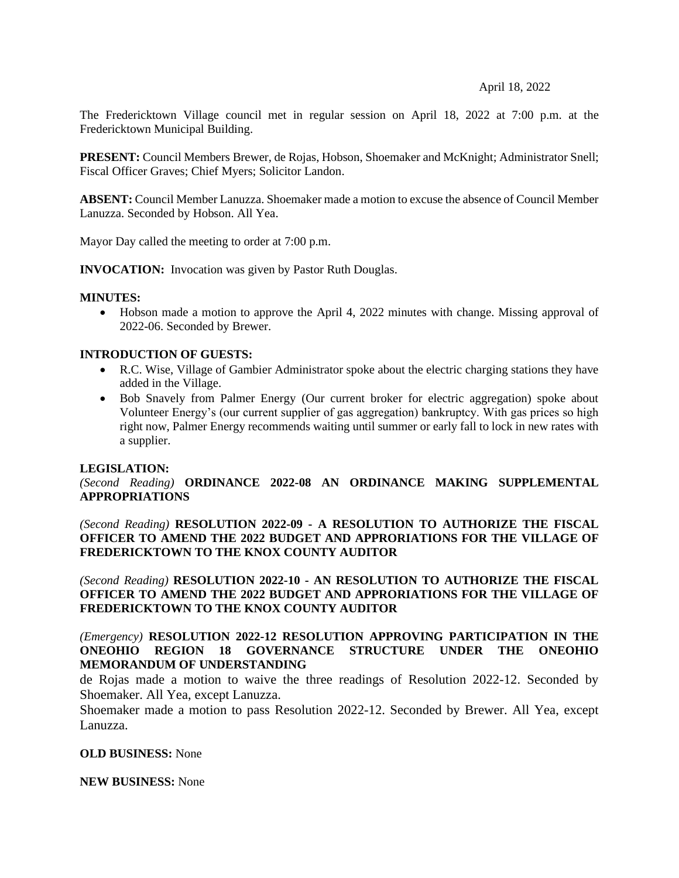### April 18, 2022

The Fredericktown Village council met in regular session on April 18, 2022 at 7:00 p.m. at the Fredericktown Municipal Building.

**PRESENT:** Council Members Brewer, de Rojas, Hobson, Shoemaker and McKnight; Administrator Snell; Fiscal Officer Graves; Chief Myers; Solicitor Landon.

**ABSENT:** Council Member Lanuzza. Shoemaker made a motion to excuse the absence of Council Member Lanuzza. Seconded by Hobson. All Yea.

Mayor Day called the meeting to order at 7:00 p.m.

**INVOCATION:** Invocation was given by Pastor Ruth Douglas.

### **MINUTES:**

• Hobson made a motion to approve the April 4, 2022 minutes with change. Missing approval of 2022-06. Seconded by Brewer.

### **INTRODUCTION OF GUESTS:**

- R.C. Wise, Village of Gambier Administrator spoke about the electric charging stations they have added in the Village.
- Bob Snavely from Palmer Energy (Our current broker for electric aggregation) spoke about Volunteer Energy's (our current supplier of gas aggregation) bankruptcy. With gas prices so high right now, Palmer Energy recommends waiting until summer or early fall to lock in new rates with a supplier.

### **LEGISLATION:**

*(Second Reading)* **ORDINANCE 2022-08 AN ORDINANCE MAKING SUPPLEMENTAL APPROPRIATIONS**

*(Second Reading)* **RESOLUTION 2022-09 - A RESOLUTION TO AUTHORIZE THE FISCAL OFFICER TO AMEND THE 2022 BUDGET AND APPRORIATIONS FOR THE VILLAGE OF FREDERICKTOWN TO THE KNOX COUNTY AUDITOR**

*(Second Reading)* **RESOLUTION 2022-10 - AN RESOLUTION TO AUTHORIZE THE FISCAL OFFICER TO AMEND THE 2022 BUDGET AND APPRORIATIONS FOR THE VILLAGE OF FREDERICKTOWN TO THE KNOX COUNTY AUDITOR**

*(Emergency)* **RESOLUTION 2022-12 RESOLUTION APPROVING PARTICIPATION IN THE ONEOHIO REGION 18 GOVERNANCE STRUCTURE UNDER THE ONEOHIO MEMORANDUM OF UNDERSTANDING**

de Rojas made a motion to waive the three readings of Resolution 2022-12. Seconded by Shoemaker. All Yea, except Lanuzza.

Shoemaker made a motion to pass Resolution 2022-12. Seconded by Brewer. All Yea, except Lanuzza.

### **OLD BUSINESS:** None

**NEW BUSINESS:** None